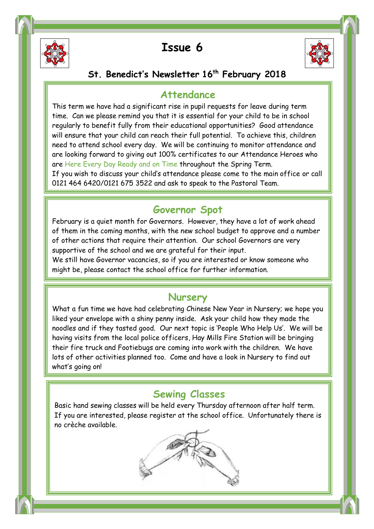

Ī

Ī



### **St. Benedict's Newsletter 16th February 2018**

#### **Attendance**

 are Here Every Day Ready and on Time throughout the Spring Term. This term we have had a significant rise in pupil requests for leave during term time. Can we please remind you that it is essential for your child to be in school regularly to benefit fully from their educational opportunities? Good attendance will ensure that your child can reach their full potential. To achieve this, children need to attend school every day. We will be continuing to monitor attendance and are looking forward to giving out 100% certificates to our Attendance Heroes who

If you wish to discuss your child's attendance please come to the main office or call 0121 464 6420/0121 675 3522 and ask to speak to the Pastoral Team.

### **Governor Spot**

February is a quiet month for Governors. However, they have a lot of work ahead of them in the coming months, with the new school budget to approve and a number of other actions that require their attention. Our school Governors are very supportive of the school and we are grateful for their input.

 might be, please contact the school office for further information. We still have Governor vacancies, so if you are interested or know someone who

#### **Nursery**

 What a fun time we have had celebrating Chinese New Year in Nursery; we hope you liked your envelope with a shiny penny inside. Ask your child how they made the having visits from the local police officers, Hay Mills Fire Station will be bringing their fire truck and Footiebugs are coming into work with the children. We have what's going on! noodles and if they tasted good. Our next topic is 'People Who Help Us'. We will be lots of other activities planned too. Come and have a look in Nursery to find out

#### **Sewing Classes**

 Basic hand sewing classes will be held every Thursday afternoon after half term. If you are interested, please register at the school office. Unfortunately there is Ï no crèche available.